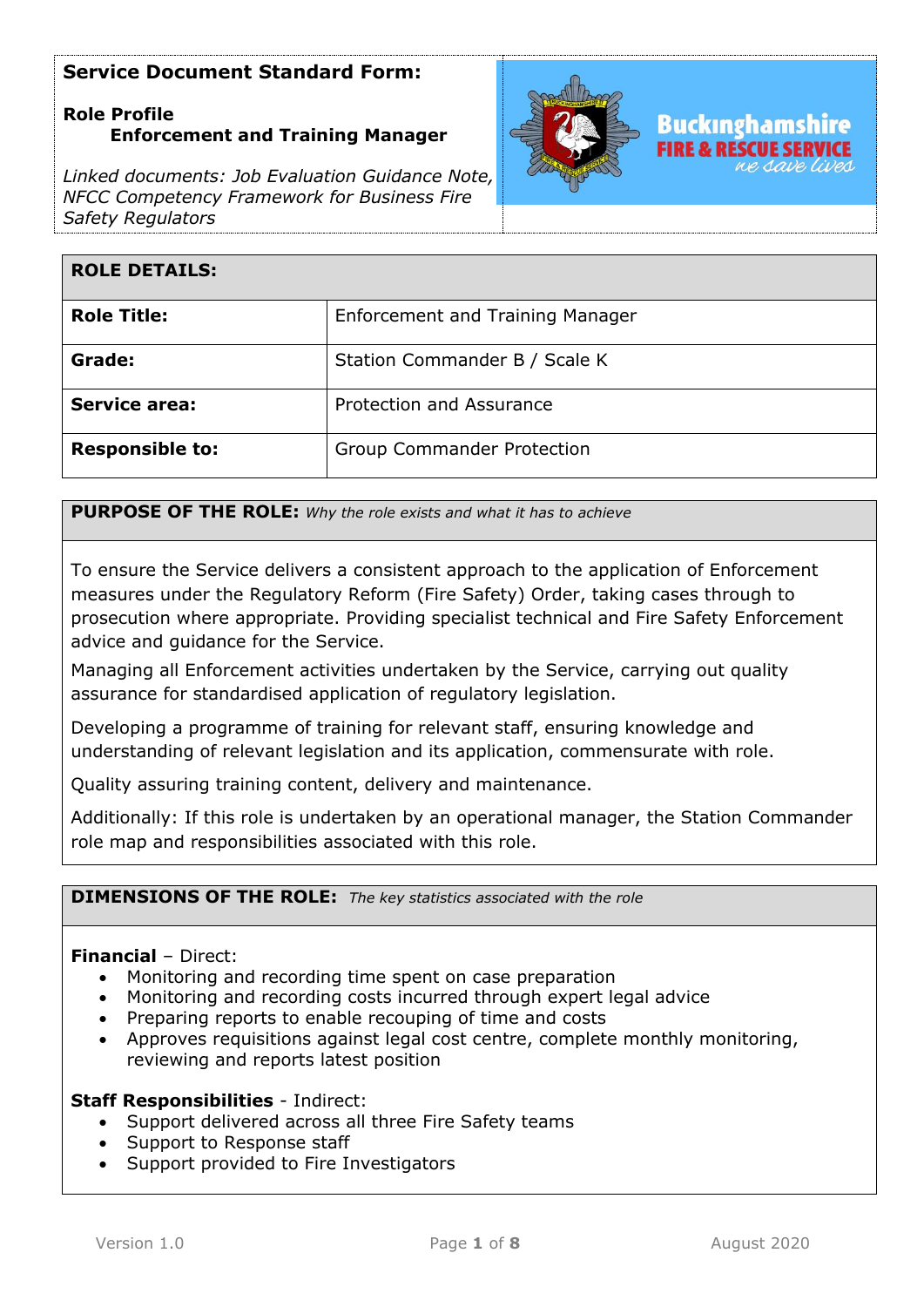## **Role Profile Enforcement and Training Manager**

*Linked documents: Job Evaluation Guidance Note, NFCC Competency Framework for Business Fire Safety Regulators*



| <b>ROLE DETAILS:</b>   |                                         |
|------------------------|-----------------------------------------|
| <b>Role Title:</b>     | <b>Enforcement and Training Manager</b> |
| Grade:                 | Station Commander B / Scale K           |
| <b>Service area:</b>   | Protection and Assurance                |
| <b>Responsible to:</b> | <b>Group Commander Protection</b>       |

**PURPOSE OF THE ROLE:** *Why the role exists and what it has to achieve* 

To ensure the Service delivers a consistent approach to the application of Enforcement measures under the Regulatory Reform (Fire Safety) Order, taking cases through to prosecution where appropriate. Providing specialist technical and Fire Safety Enforcement advice and guidance for the Service.

Managing all Enforcement activities undertaken by the Service, carrying out quality assurance for standardised application of regulatory legislation.

Developing a programme of training for relevant staff, ensuring knowledge and understanding of relevant legislation and its application, commensurate with role.

Quality assuring training content, delivery and maintenance.

Additionally: If this role is undertaken by an operational manager, the Station Commander role map and responsibilities associated with this role.

### **DIMENSIONS OF THE ROLE:** *The key statistics associated with the role*

## **Financial** – Direct:

- Monitoring and recording time spent on case preparation
- Monitoring and recording costs incurred through expert legal advice
- Preparing reports to enable recouping of time and costs
- Approves requisitions against legal cost centre, complete monthly monitoring, reviewing and reports latest position

#### **Staff Responsibilities** - Indirect:

- Support delivered across all three Fire Safety teams
- Support to Response staff
- Support provided to Fire Investigators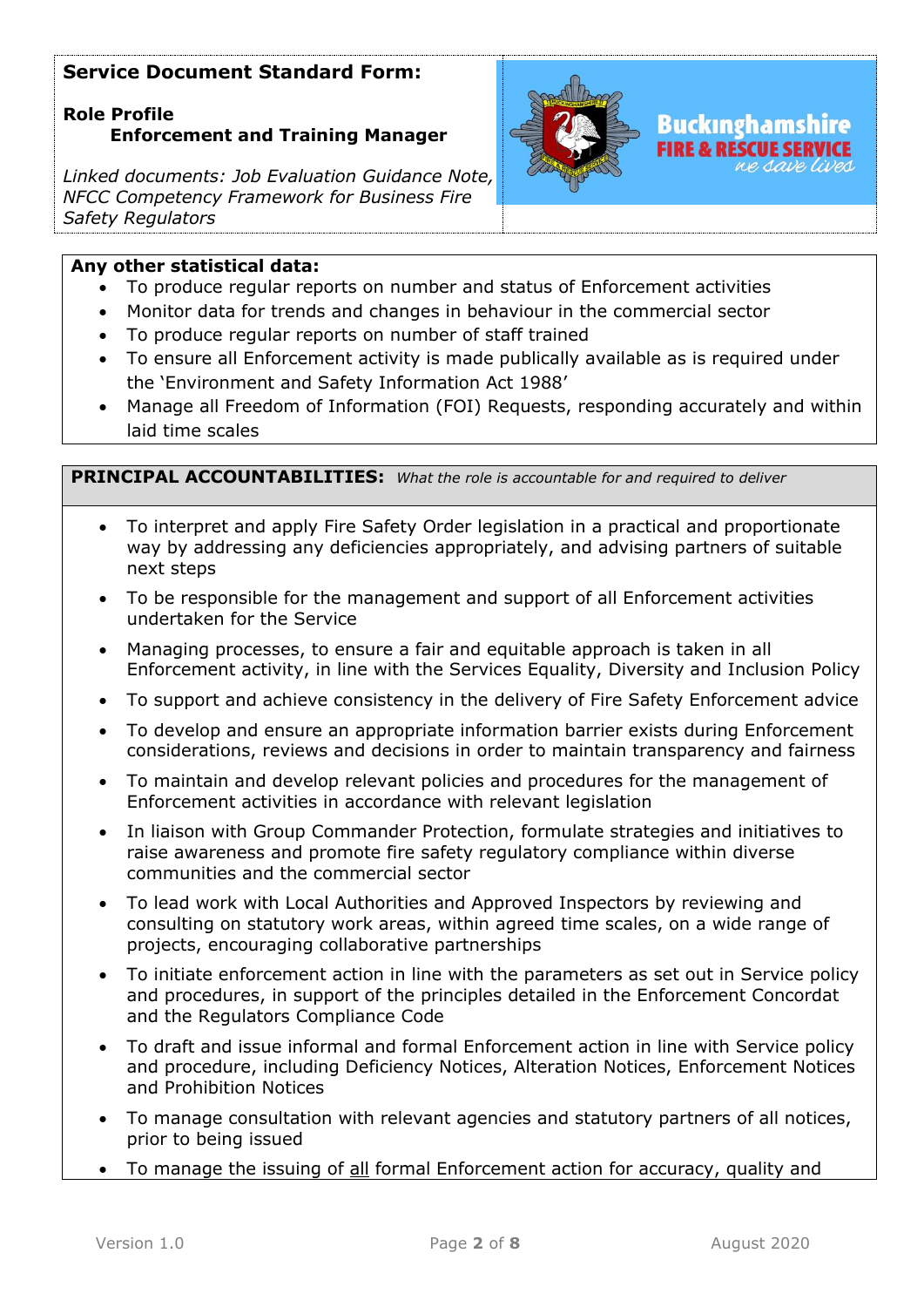# **Role Profile Enforcement and Training Manager**

*Linked documents: Job Evaluation Guidance Note, NFCC Competency Framework for Business Fire Safety Regulators*



## **Any other statistical data:**

- To produce regular reports on number and status of Enforcement activities
- Monitor data for trends and changes in behaviour in the commercial sector
- To produce regular reports on number of staff trained
- To ensure all Enforcement activity is made publically available as is required under the 'Environment and Safety Information Act 1988'
- Manage all Freedom of Information (FOI) Requests, responding accurately and within laid time scales

**PRINCIPAL ACCOUNTABILITIES:** *What the role is accountable for and required to deliver*

- To interpret and apply Fire Safety Order legislation in a practical and proportionate way by addressing any deficiencies appropriately, and advising partners of suitable next steps
- To be responsible for the management and support of all Enforcement activities undertaken for the Service
- Managing processes, to ensure a fair and equitable approach is taken in all Enforcement activity, in line with the Services Equality, Diversity and Inclusion Policy
- To support and achieve consistency in the delivery of Fire Safety Enforcement advice
- To develop and ensure an appropriate information barrier exists during Enforcement considerations, reviews and decisions in order to maintain transparency and fairness
- To maintain and develop relevant policies and procedures for the management of Enforcement activities in accordance with relevant legislation
- In liaison with Group Commander Protection, formulate strategies and initiatives to raise awareness and promote fire safety regulatory compliance within diverse communities and the commercial sector
- To lead work with Local Authorities and Approved Inspectors by reviewing and consulting on statutory work areas, within agreed time scales, on a wide range of projects, encouraging collaborative partnerships
- To initiate enforcement action in line with the parameters as set out in Service policy and procedures, in support of the principles detailed in the Enforcement Concordat and the Regulators Compliance Code
- To draft and issue informal and formal Enforcement action in line with Service policy and procedure, including Deficiency Notices, Alteration Notices, Enforcement Notices and Prohibition Notices
- To manage consultation with relevant agencies and statutory partners of all notices, prior to being issued
- To manage the issuing of all formal Enforcement action for accuracy, quality and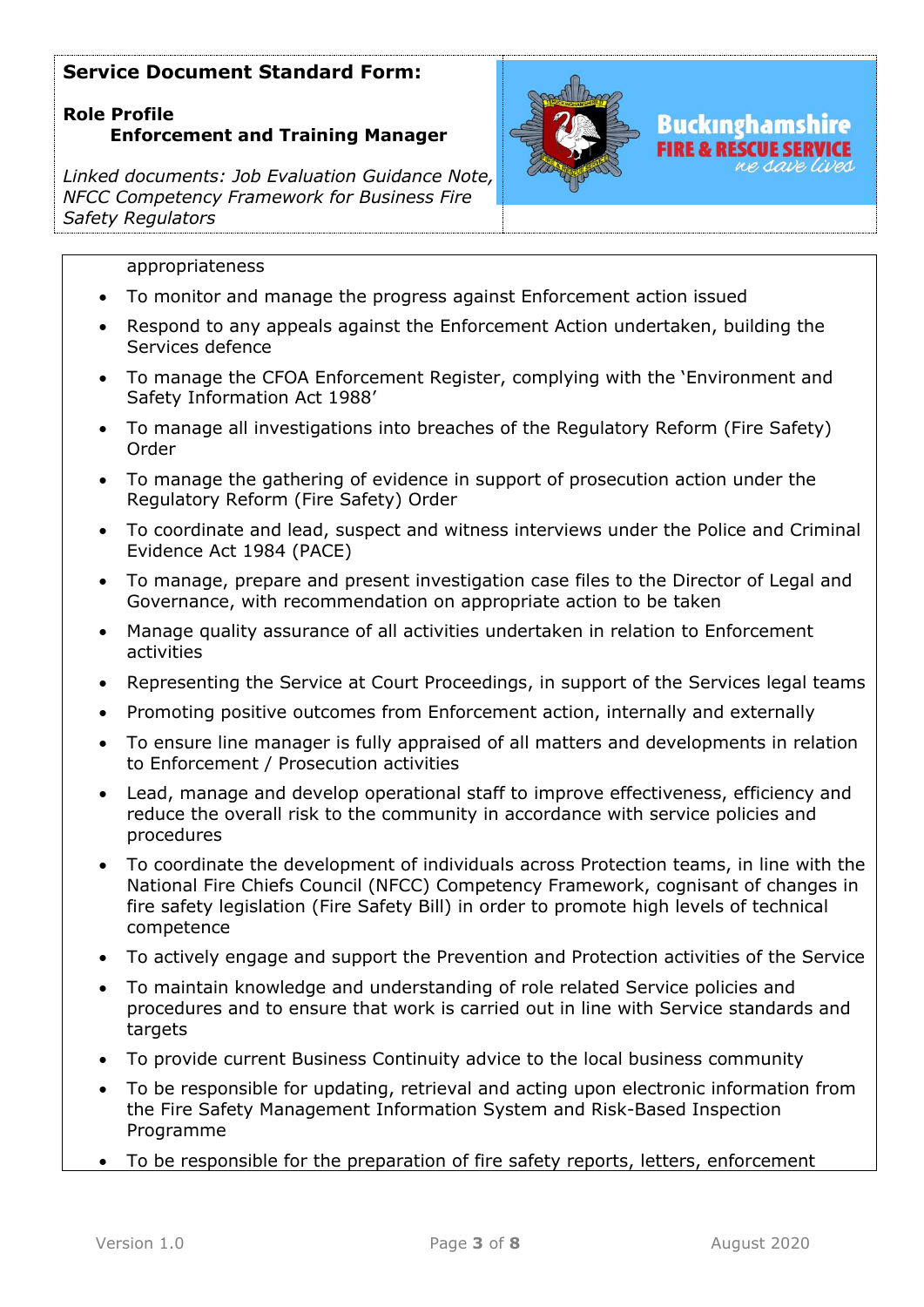# **Role Profile Enforcement and Training Manager**

*Linked documents: Job Evaluation Guidance Note, NFCC Competency Framework for Business Fire Safety Regulators*



e s*ave lives* 

#### appropriateness

- To monitor and manage the progress against Enforcement action issued
- Respond to any appeals against the Enforcement Action undertaken, building the Services defence
- To manage the CFOA Enforcement Register, complying with the 'Environment and Safety Information Act 1988'
- To manage all investigations into breaches of the Regulatory Reform (Fire Safety) Order
- To manage the gathering of evidence in support of prosecution action under the Regulatory Reform (Fire Safety) Order
- To coordinate and lead, suspect and witness interviews under the Police and Criminal Evidence Act 1984 (PACE)
- To manage, prepare and present investigation case files to the Director of Legal and Governance, with recommendation on appropriate action to be taken
- Manage quality assurance of all activities undertaken in relation to Enforcement activities
- Representing the Service at Court Proceedings, in support of the Services legal teams
- Promoting positive outcomes from Enforcement action, internally and externally
- To ensure line manager is fully appraised of all matters and developments in relation to Enforcement / Prosecution activities
- Lead, manage and develop operational staff to improve effectiveness, efficiency and reduce the overall risk to the community in accordance with service policies and procedures
- To coordinate the development of individuals across Protection teams, in line with the National Fire Chiefs Council (NFCC) Competency Framework, cognisant of changes in fire safety legislation (Fire Safety Bill) in order to promote high levels of technical competence
- To actively engage and support the Prevention and Protection activities of the Service
- To maintain knowledge and understanding of role related Service policies and procedures and to ensure that work is carried out in line with Service standards and targets
- To provide current Business Continuity advice to the local business community
- To be responsible for updating, retrieval and acting upon electronic information from the Fire Safety Management Information System and Risk-Based Inspection Programme
- To be responsible for the preparation of fire safety reports, letters, enforcement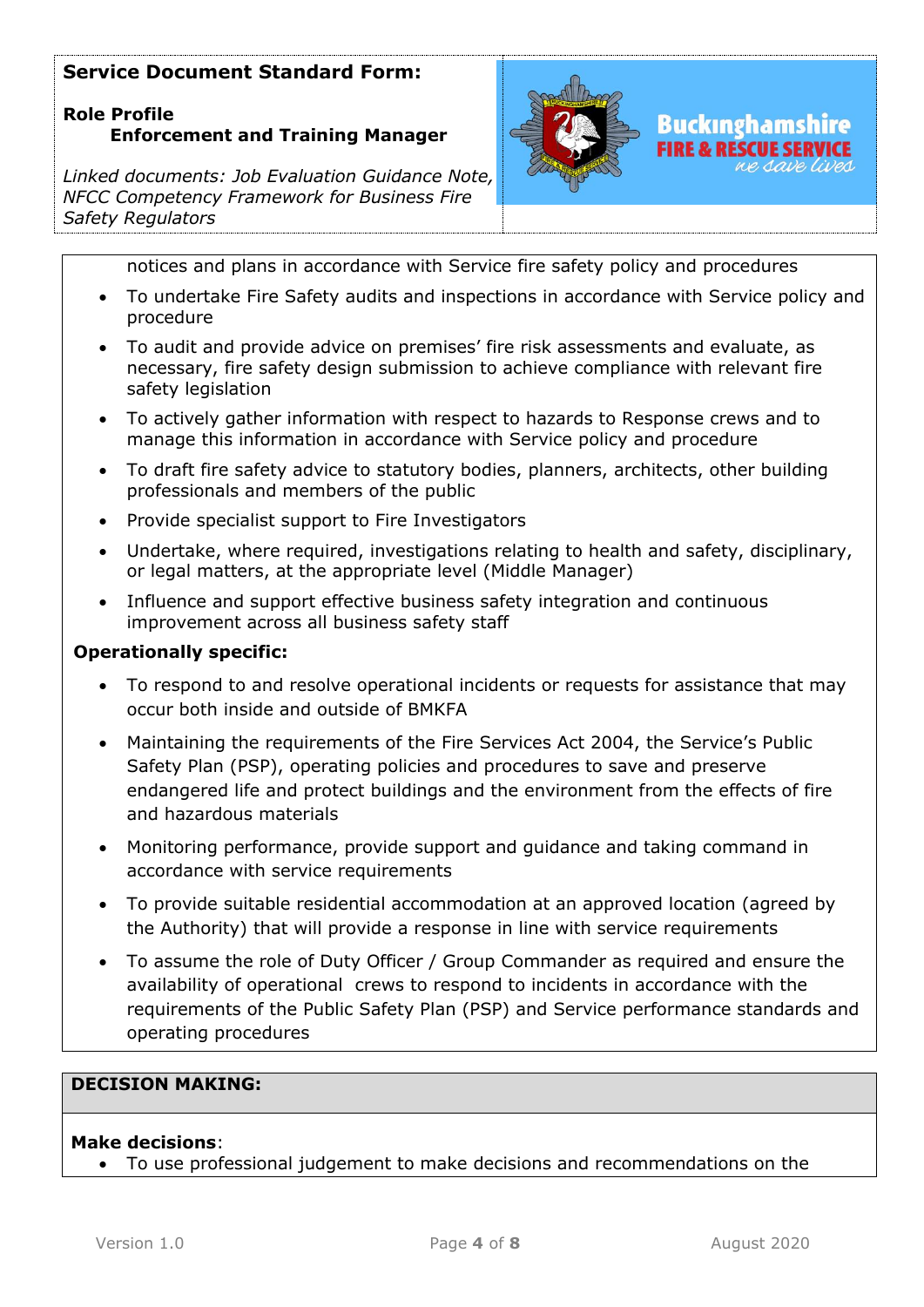# **Role Profile Enforcement and Training Manager**

*Linked documents: Job Evaluation Guidance Note, NFCC Competency Framework for Business Fire Safety Regulators*



notices and plans in accordance with Service fire safety policy and procedures

- To undertake Fire Safety audits and inspections in accordance with Service policy and procedure
- To audit and provide advice on premises' fire risk assessments and evaluate, as necessary, fire safety design submission to achieve compliance with relevant fire safety legislation
- To actively gather information with respect to hazards to Response crews and to manage this information in accordance with Service policy and procedure
- To draft fire safety advice to statutory bodies, planners, architects, other building professionals and members of the public
- Provide specialist support to Fire Investigators
- Undertake, where required, investigations relating to health and safety, disciplinary, or legal matters, at the appropriate level (Middle Manager)
- Influence and support effective business safety integration and continuous improvement across all business safety staff

#### **Operationally specific:**

- To respond to and resolve operational incidents or requests for assistance that may occur both inside and outside of BMKFA
- Maintaining the requirements of the Fire Services Act 2004, the Service's Public Safety Plan (PSP), operating policies and procedures to save and preserve endangered life and protect buildings and the environment from the effects of fire and hazardous materials
- Monitoring performance, provide support and guidance and taking command in accordance with service requirements
- To provide suitable residential accommodation at an approved location (agreed by the Authority) that will provide a response in line with service requirements
- To assume the role of Duty Officer / Group Commander as required and ensure the availability of operational crews to respond to incidents in accordance with the requirements of the Public Safety Plan (PSP) and Service performance standards and operating procedures

## **DECISION MAKING:**

#### **Make decisions**:

• To use professional judgement to make decisions and recommendations on the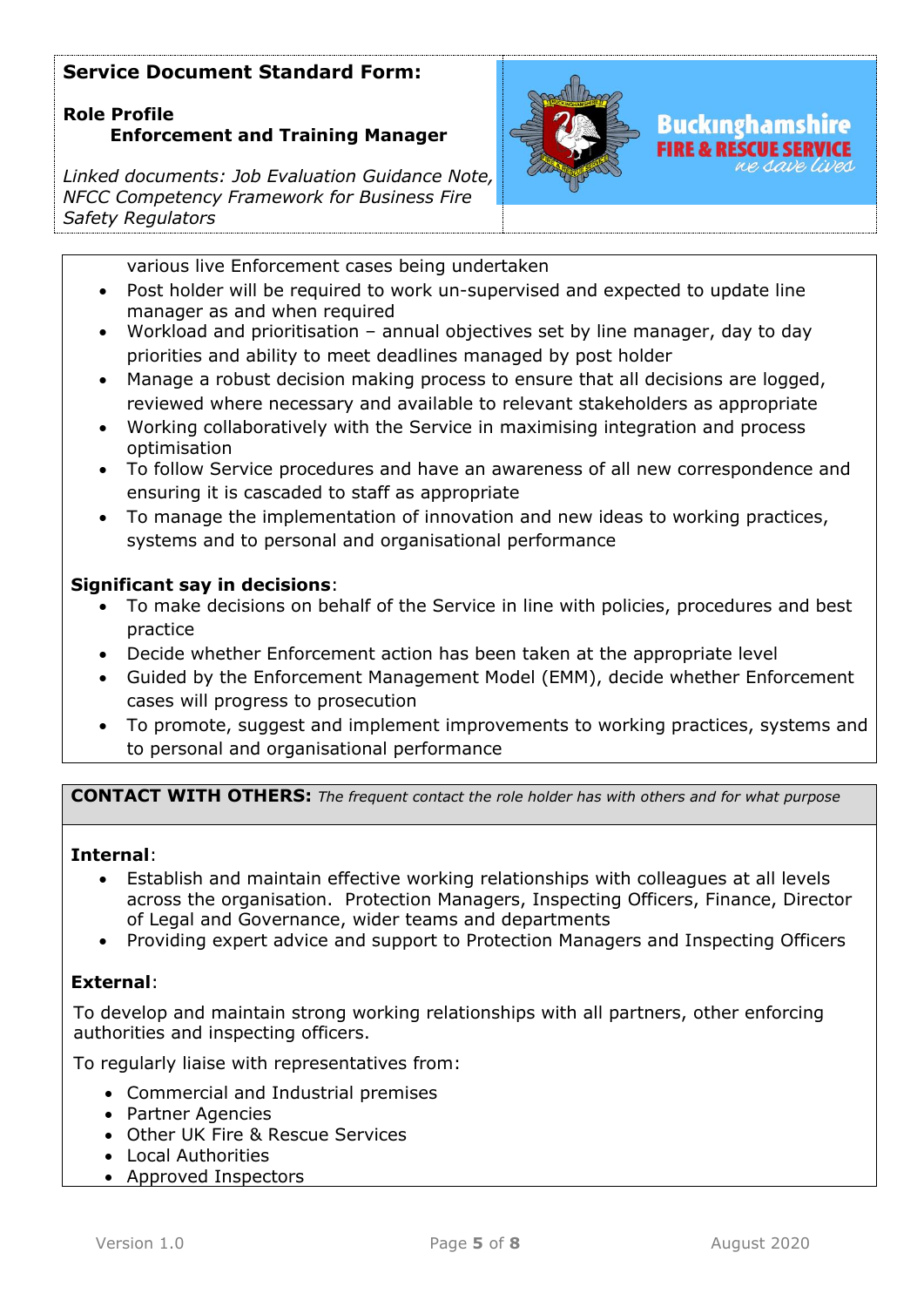# **Role Profile Enforcement and Training Manager**

*Linked documents: Job Evaluation Guidance Note, NFCC Competency Framework for Business Fire Safety Regulators*



various live Enforcement cases being undertaken

- Post holder will be required to work un-supervised and expected to update line manager as and when required
- Workload and prioritisation annual objectives set by line manager, day to day priorities and ability to meet deadlines managed by post holder
- Manage a robust decision making process to ensure that all decisions are logged, reviewed where necessary and available to relevant stakeholders as appropriate
- Working collaboratively with the Service in maximising integration and process optimisation
- To follow Service procedures and have an awareness of all new correspondence and ensuring it is cascaded to staff as appropriate
- To manage the implementation of innovation and new ideas to working practices, systems and to personal and organisational performance

## **Significant say in decisions**:

- To make decisions on behalf of the Service in line with policies, procedures and best practice
- Decide whether Enforcement action has been taken at the appropriate level
- Guided by the Enforcement Management Model (EMM), decide whether Enforcement cases will progress to prosecution
- To promote, suggest and implement improvements to working practices, systems and to personal and organisational performance

**CONTACT WITH OTHERS:** *The frequent contact the role holder has with others and for what purpose* 

## **Internal**:

- Establish and maintain effective working relationships with colleagues at all levels across the organisation. Protection Managers, Inspecting Officers, Finance, Director of Legal and Governance, wider teams and departments
- Providing expert advice and support to Protection Managers and Inspecting Officers

## **External**:

To develop and maintain strong working relationships with all partners, other enforcing authorities and inspecting officers.

To regularly liaise with representatives from:

- Commercial and Industrial premises
- Partner Agencies
- Other UK Fire & Rescue Services
- Local Authorities
- Approved Inspectors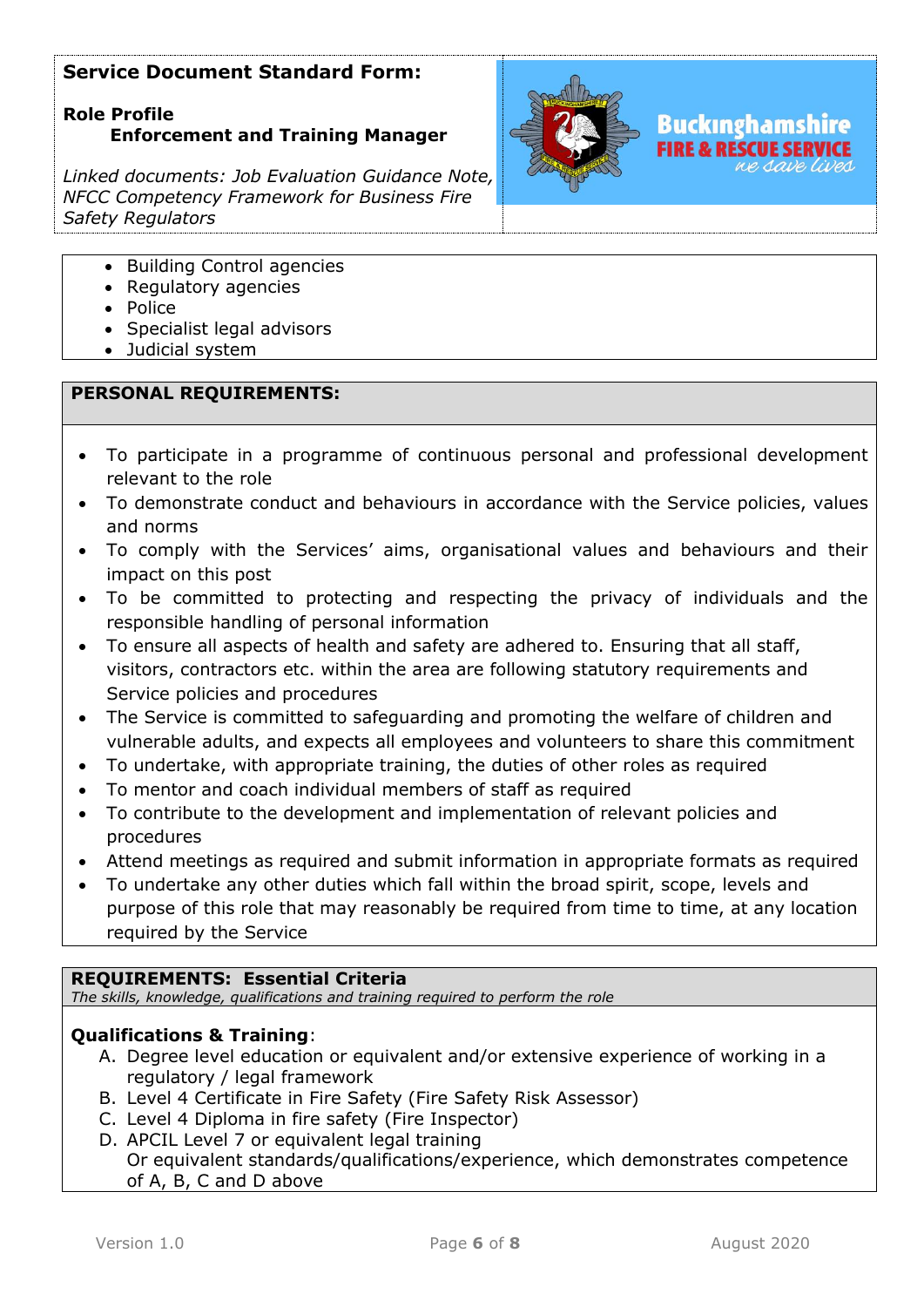## **Role Profile Enforcement and Training Manager**

*Linked documents: Job Evaluation Guidance Note, NFCC Competency Framework for Business Fire Safety Regulators*



- Building Control agencies
- Regulatory agencies
- Police
- Specialist legal advisors
- Judicial system

## **PERSONAL REQUIREMENTS:**

- To participate in a programme of continuous personal and professional development relevant to the role
- To demonstrate conduct and behaviours in accordance with the Service policies, values and norms
- To comply with the Services' aims, organisational values and behaviours and their impact on this post
- To be committed to protecting and respecting the privacy of individuals and the responsible handling of personal information
- To ensure all aspects of health and safety are adhered to. Ensuring that all staff, visitors, contractors etc. within the area are following statutory requirements and Service policies and procedures
- The Service is committed to safeguarding and promoting the welfare of children and vulnerable adults, and expects all employees and volunteers to share this commitment
- To undertake, with appropriate training, the duties of other roles as required
- To mentor and coach individual members of staff as required
- To contribute to the development and implementation of relevant policies and procedures
- Attend meetings as required and submit information in appropriate formats as required
- To undertake any other duties which fall within the broad spirit, scope, levels and purpose of this role that may reasonably be required from time to time, at any location required by the Service

#### **REQUIREMENTS: Essential Criteria**

*The skills, knowledge, qualifications and training required to perform the role*

## **Qualifications & Training**:

- A. Degree level education or equivalent and/or extensive experience of working in a regulatory / legal framework
- B. Level 4 Certificate in Fire Safety (Fire Safety Risk Assessor)
- C. Level 4 Diploma in fire safety (Fire Inspector)
- D. APCIL Level 7 or equivalent legal training

Or equivalent standards/qualifications/experience, which demonstrates competence of A, B, C and D above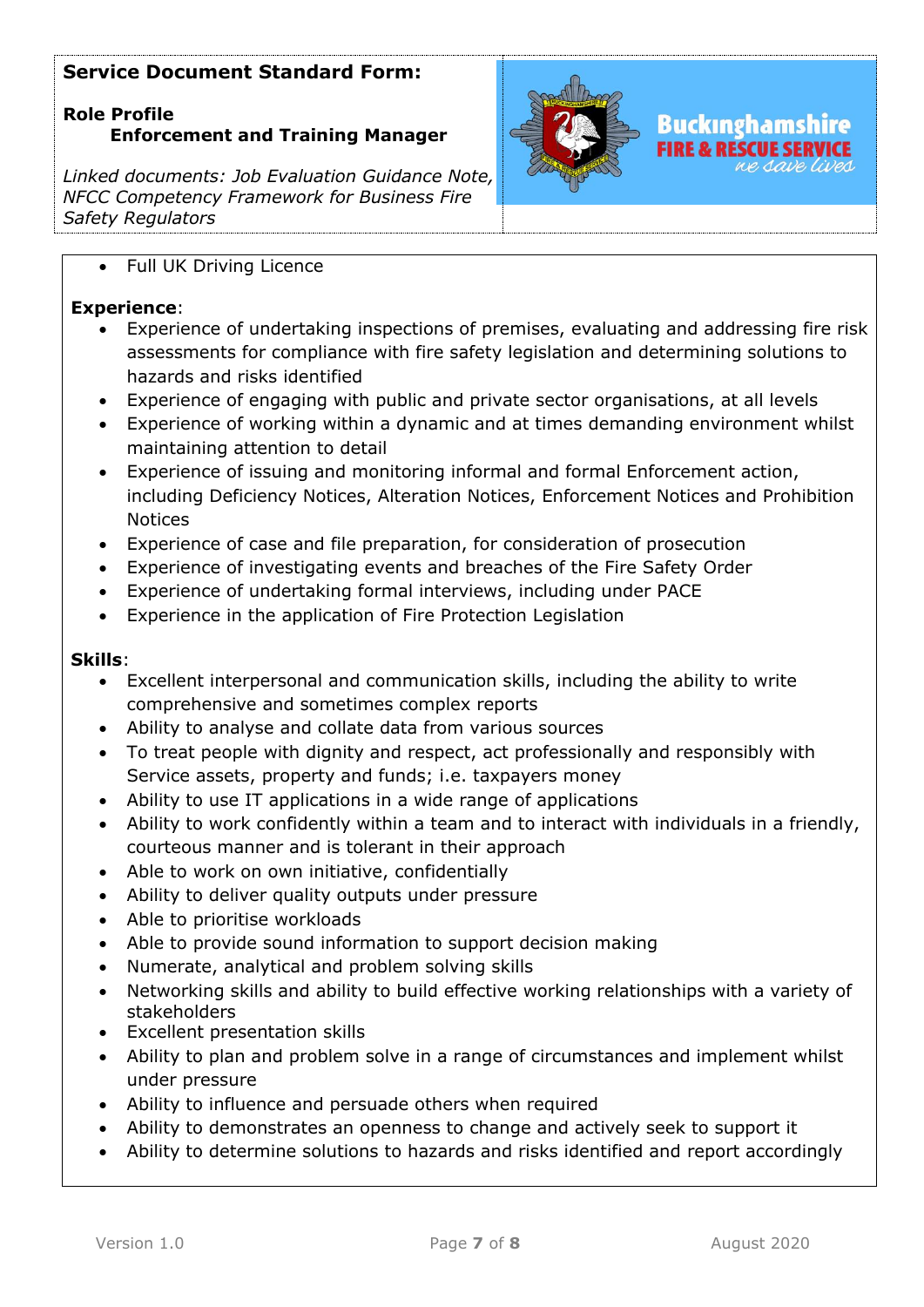## **Role Profile Enforcement and Training Manager**

*Linked documents: Job Evaluation Guidance Note, NFCC Competency Framework for Business Fire Safety Regulators*



### • Full UK Driving Licence

### **Experience**:

- Experience of undertaking inspections of premises, evaluating and addressing fire risk assessments for compliance with fire safety legislation and determining solutions to hazards and risks identified
- Experience of engaging with public and private sector organisations, at all levels
- Experience of working within a dynamic and at times demanding environment whilst maintaining attention to detail
- Experience of issuing and monitoring informal and formal Enforcement action, including Deficiency Notices, Alteration Notices, Enforcement Notices and Prohibition **Notices**
- Experience of case and file preparation, for consideration of prosecution
- Experience of investigating events and breaches of the Fire Safety Order
- Experience of undertaking formal interviews, including under PACE
- Experience in the application of Fire Protection Legislation

### **Skills**:

- Excellent interpersonal and communication skills, including the ability to write comprehensive and sometimes complex reports
- Ability to analyse and collate data from various sources
- To treat people with dignity and respect, act professionally and responsibly with Service assets, property and funds; i.e. taxpayers money
- Ability to use IT applications in a wide range of applications
- Ability to work confidently within a team and to interact with individuals in a friendly, courteous manner and is tolerant in their approach
- Able to work on own initiative, confidentially
- Ability to deliver quality outputs under pressure
- Able to prioritise workloads
- Able to provide sound information to support decision making
- Numerate, analytical and problem solving skills
- Networking skills and ability to build effective working relationships with a variety of stakeholders
- Excellent presentation skills
- Ability to plan and problem solve in a range of circumstances and implement whilst under pressure
- Ability to influence and persuade others when required
- Ability to demonstrates an openness to change and actively seek to support it
- Ability to determine solutions to hazards and risks identified and report accordingly